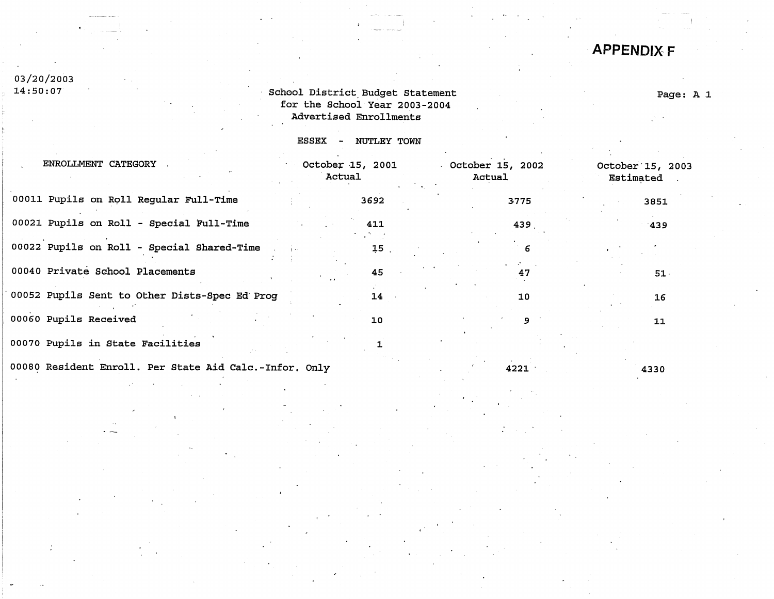# **APPENDJXF**

# 03/20/2003<br>14:50:07

## School District Budget Statement for the School Year 2003-2004 Advertised Enrollments

# Page: A 1

ESSEX - NUTLEY TOWN

| ENROLLMENT CATEGORY                                    | October 15, 2001<br>Actual | October 15, 2002<br>Actual | October 15, 2003<br>Estimated |
|--------------------------------------------------------|----------------------------|----------------------------|-------------------------------|
| 00011 Pupils on Roll Regular Full-Time                 | 3692                       | 3775                       | 3851                          |
| 00021 Pupils on Roll - Special Full-Time               | 411                        | 439                        | $-439$                        |
| 00022 Pupils on Roll - Special Shared-Time             | 15                         | 6                          |                               |
| 00040 Private School Placements                        | 45                         | 47                         | 51.                           |
| 00052 Pupils Sent to Other Dists-Spec Ed Prog          | 14                         | 10                         | 16                            |
| 00060 Pupils Received                                  | 10                         | 9                          | 11                            |
| 00070 Pupils in State Facilities                       |                            |                            |                               |
| 00080 Resident Enroll. Per State Aid Calc.-Infor, Only |                            | 4221                       | 4330                          |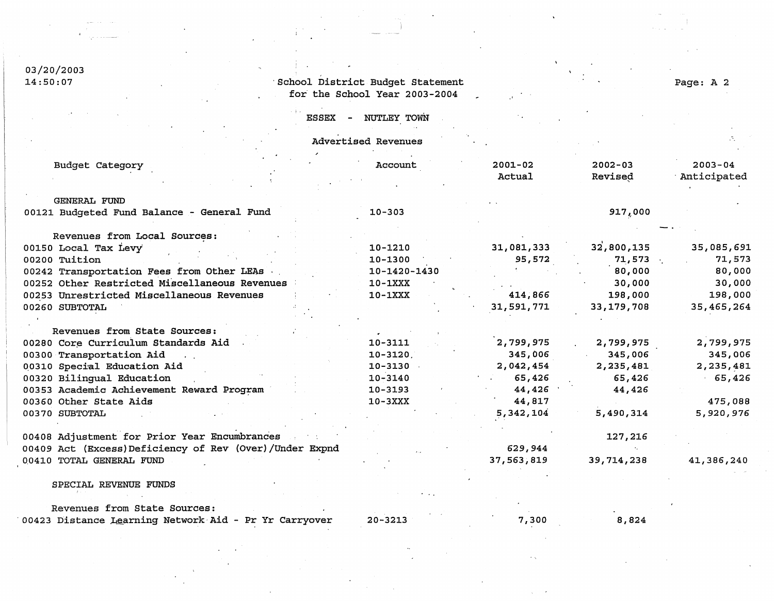03/20/2003<br>14:50:07

# School District Budget Statement for the School Year 2003-2004

### Page: A 2

| <b>ESSEX</b> | NUTLEY TOWN |  |
|--------------|-------------|--|
|              |             |  |

i i i

|                                                                   | Advertised Revenues |                       |                        |                            |
|-------------------------------------------------------------------|---------------------|-----------------------|------------------------|----------------------------|
| Budget Category                                                   | Account             | $2001 - 02$<br>Actual | $2002 - 03$<br>Revised | $2003 - 04$<br>Anticipated |
|                                                                   |                     |                       |                        |                            |
| <b>GENERAL FUND</b><br>00121 Budgeted Fund Balance - General Fund | $10 - 303$          |                       | 917,000                |                            |
| Revenues from Local Sources:                                      |                     |                       |                        |                            |
| 00150 Local Tax Levy                                              | 10-1210             | 31,081,333            | 32,800,135             | 35,085,691                 |
| 00200 Tuition                                                     | $10 - 1300$         | 95,572                | 71,573                 | 71,573                     |
| 00242 Transportation Fees from Other LEAs                         | 10-1420-1430        |                       | 80,000                 | 80,000                     |
| 00252 Other Restricted Miscellaneous Revenues                     | $10-1XXX$           |                       | 30,000                 | 30,000                     |
| 00253 Unrestricted Miscellaneous Revenues                         | $10-1XXX$           | 414,866               | 198,000                | 198,000                    |
| 00260 SUBTOTAL                                                    |                     | 31,591,771            | 33, 179, 708           | 35,465,264                 |
|                                                                   |                     |                       |                        |                            |
| Revenues from State Sources:                                      |                     |                       |                        |                            |
| 00280 Core Curriculum Standards Aid                               | 10-3111             | 2,799,975             | 2,799,975              | 2,799,975                  |
| 00300 Transportation Aid                                          | $10 - 3120$         | 345,006               | 345,006                | 345,006                    |
| 00310 Special Education Aid                                       | $10 - 3130$         | 2,042,454             | 2,235,481              | 2,235,481                  |
| 00320 Bilingual Education                                         | 10-3140             | 65,426                | 65,426                 | 65,426                     |
| 00353 Academic Achievement Reward Program                         | $10 - 3193$         | 44,426                | 44,426                 |                            |
| 00360 Other State Aids                                            | $10-3XXX$           | 44,817                |                        | 475,088                    |
| 00370 SUBTOTAL                                                    |                     | 5,342,104             | 5,490,314              | 5,920,976                  |
| 00408 Adjustment for Prior Year Encumbrances                      |                     |                       | 127,216                |                            |
| 00409 Act (Excess) Deficiency of Rev (Over) / Under Expnd         |                     | 629,944               |                        |                            |
| 00410 TOTAL GENERAL FUND                                          |                     | 37,563,819            | 39,714,238             | 41,386,240                 |
|                                                                   |                     |                       |                        |                            |

#### SPECIAL REVENUE FUNDS

Revenues from State Sources: ·00423 Distance Learning Network·Aid - Pr Yr Carryover

20-3213

7,300

**8,824**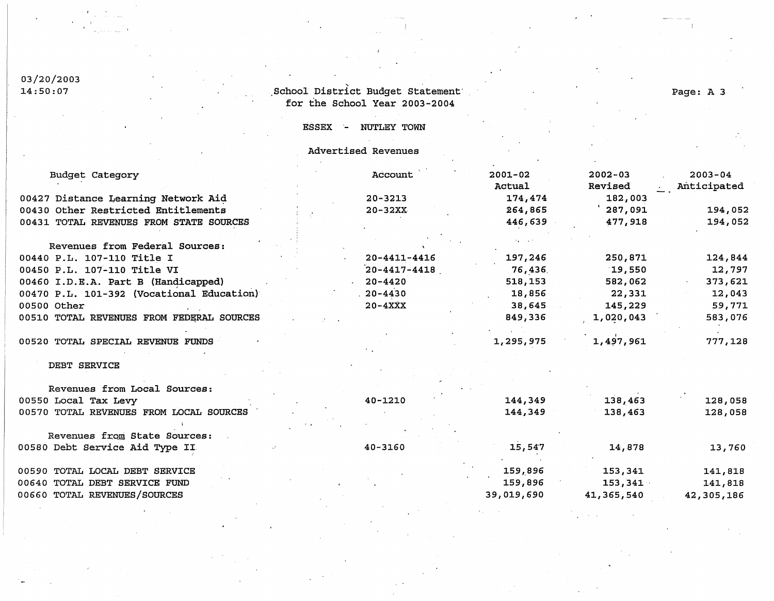#### 03/20/20  $14:50:$

### School District Budget Statemen for the School Year 2003-2004

# Page: A 3

ESSEX - NUTLEY TOWN

Advertised Revenues

| Budget Category                           | Account            | $2001 - 02$   | $2002 - 03$ | $2003 - 04$ |
|-------------------------------------------|--------------------|---------------|-------------|-------------|
|                                           |                    | <b>Actual</b> | Revised     | Anticipated |
| 00427 Distance Learning Network Aid       | $20 - 3213$        | 174,474       | 182,003     |             |
| 00430 Other Restricted Entitlements       | $20 - 32XX$        | 264,865       | ' 287,091   | 194,052     |
| 00431 TOTAL REVENUES FROM STATE SOURCES   |                    | 446,639       | 477,918     | 194,052     |
|                                           |                    |               |             |             |
| Revenues from Federal Sources:            |                    |               |             |             |
| 00440 P.L. 107-110 Title I                | $20 - 4411 - 4416$ | 197,246       | 250,871     | 124,844     |
| 00450 P.L. 107-110 Title VI               | $20 - 4417 - 4418$ | 76,436        | 19,550      | 12,797      |
| 00460 I.D.E.A. Part B (Handicapped)       | $20 - 4420$        | 518,153       | 582,062     | 373,621     |
| 00470 P.L. 101-392 (Vocational Education) | $.20 - 4430$       | 18,856        | 22,331      | 12,043      |
| 00500 Other                               | $20 - 4XXX$        | 38,645        | 145,229     | 59,771      |
| 00510 TOTAL REVENUES FROM FEDERAL SOURCES |                    | 849,336       | 1,020,043   | 583,076     |
| 00520 TOTAL SPECIAL REVENUE FUNDS         |                    | 1,295,975     | 1,497,961   | 777,128     |
|                                           |                    |               |             |             |
| DEBT SERVICE                              |                    |               |             |             |
|                                           |                    |               |             |             |
| Revenues from Local Sources:              |                    |               |             |             |
| 00550 Local Tax Levy                      | $40 - 1210$        | 144,349       | 138,463     | 128,058     |
| 00570 TOTAL REVENUES FROM LOCAL SOURCES   |                    | 144,349       | 138,463     | 128,058     |
|                                           |                    |               |             |             |
| Revenues from State Sources:              |                    |               |             |             |
| 00580 Debt Service Aid Type II            | 40-3160            | 15,547        | 14,878      | 13,760      |
| 00590 TOTAL LOCAL DEBT SERVICE            |                    | 159,896       | 153,341     | 141,818     |
| 00640 TOTAL DEBT SERVICE FUND             |                    | 159,896       | 153,341     | 141,818     |
| 00660 TOTAL REVENUES/SOURCES              |                    | 39,019,690    | 41,365,540  | 42,305,186  |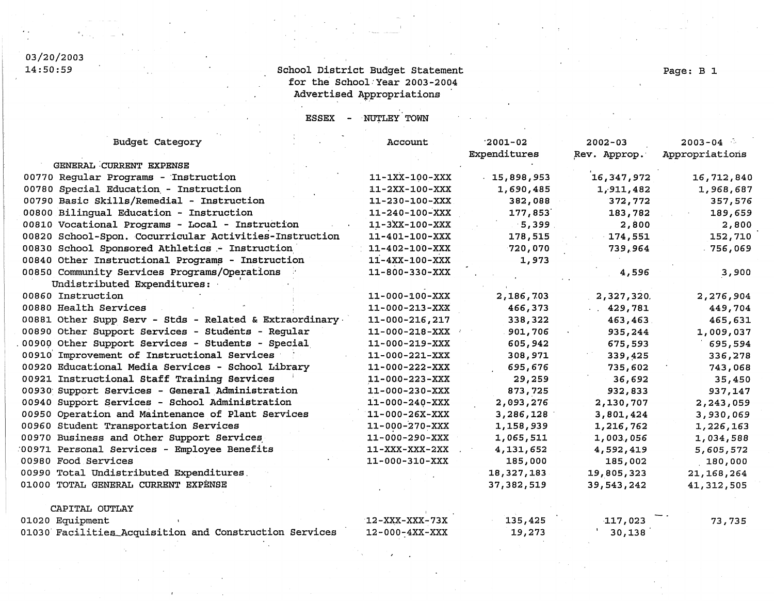# 03/20/2003<br>14:50:59

## School District Budget Statement for the School·Year 2003-2004 Advertised Appropriations

ESSEX - NUTLEY TOWN

| <b>Budget Category</b>                                  | Account                | $-2001 - 02$  | $2002 - 03$  | $2003 - 04$    |
|---------------------------------------------------------|------------------------|---------------|--------------|----------------|
|                                                         |                        | Expenditures  | Rev. Approp. | Appropriations |
| GENERAL CURRENT EXPENSE                                 |                        |               |              |                |
| 00770 Regular Programs - Instruction                    | $11 - 1XX - 100 - XXX$ | $-15,898,953$ | 16, 347, 972 | 16,712,840     |
| 00780 Special Education - Instruction                   | $11 - 2XX - 100 - XXX$ | 1,690,485     | 1,911,482    | 1,968,687      |
| 00790 Basic Skills/Remedial - Instruction               | $11 - 230 - 100 - XXX$ | 382,088       | 372,772      | 357,576        |
| 00800 Bilingual Education - Instruction                 | $11 - 240 - 100 - XXX$ | 177,853       | 183,782      | 189,659        |
| 00810 Vocational Programs - Local - Instruction         | 11-3XX-100-XXX         | $-5,399$      | 2,800        | 2,800          |
| 00820 School-Spon. Cocurricular Activities-Instruction  | 11-401-100-XXX         | 178,515       | 174,551      | 152,710        |
| 00830 School Sponsored Athletics - Instruction          | $11 - 402 - 100 - XXX$ | 720,070       | 739,964      | $-756,069$     |
| 00840 Other Instructional Programs - Instruction        | $11 - 4XX - 100 - XXX$ | 1,973         |              |                |
| 00850 Community Services Programs/Operations            | 11-800-330-XXX         |               | 4,596        | 3,900          |
| Undistributed Expenditures:                             |                        |               |              |                |
| 00860 Instruction                                       | $11 - 000 - 100 - XXX$ | 2,186,703     | 2,327,320.   | 2,276,904      |
| 00880 Health Services                                   | $11 - 000 - 213 - XXX$ | 466,373       | 429,781      | 449,704        |
| 00881 Other Supp Serv - Stds - Related & Extraordinary. | $11 - 000 - 216, 217$  | 338,322       | 463,463      | 465,631        |
| 00890 Other Support Services - Students - Regular       | $11 - 000 - 218 - XXX$ | 901,706       | 935,244      | 1,009,037      |
| 00900 Other Support Services - Students - Special       | $11 - 000 - 219 - XXX$ | 605,942       | 675,593      | 695,594        |
| 00910 Improvement of Instructional Services             | $11 - 000 - 221 - XXX$ | 308,971       | 339,425      | 336,278        |
| 00920 Educational Media Services - School Library       | $11 - 000 - 222 - XXX$ | 695,676       | 735,602      | 743,068        |
| 00921 Instructional Staff Training Services             | $11 - 000 - 223 - XXX$ | 29,259        | 36,692       | 35,450         |
| 00930 Support Services - General Administration         | 11-000-230-XXX         | 873,725       | 932,833      | 937,147        |
| 00940 Support Services - School Administration          | $11 - 000 - 240 - XXX$ | 2,093,276     | 2,130,707    | 2,243,059      |
| 00950 Operation and Maintenance of Plant Services       | $11 - 000 - 26X - XXX$ | 3,286,128     | 3,801,424    | 3,930,069      |
| 00960 Student Transportation Services                   | $11 - 000 - 270 - XXX$ | 1,158,939     | 1,216,762    | 1,226,163      |
| 00970 Business and Other Support Services               | 11-000-290-XXX         | 1,065,511     | 1,003,056    | 1,034,588      |
| 00971 Personal Services - Employee Benefits             | 11-XXX-XXX-2XX         | 4,131,652     | 4,592,419    | 5,605,572      |
| 00980 Food Services                                     | 11-000-310-XXX         | 185,000       | 185,002      | 180,000        |
| 00990 Total Undistributed Expenditures.                 |                        | 18,327,183    | 19,805,323   | 21,168,264     |
| 01000 TOTAL GENERAL CURRENT EXPENSE                     |                        | 37,382,519    | 39,543,242   | 41, 312, 505   |
| CAPITAL OUTLAY                                          |                        |               |              |                |

01020 Equipment 01030· Facilities\_Acquisition and Construction Services 12-XXX-XXX-73X 12-000-4XX-XXX 135,425 19,273 117,023 73,735 30,138

Page: B 1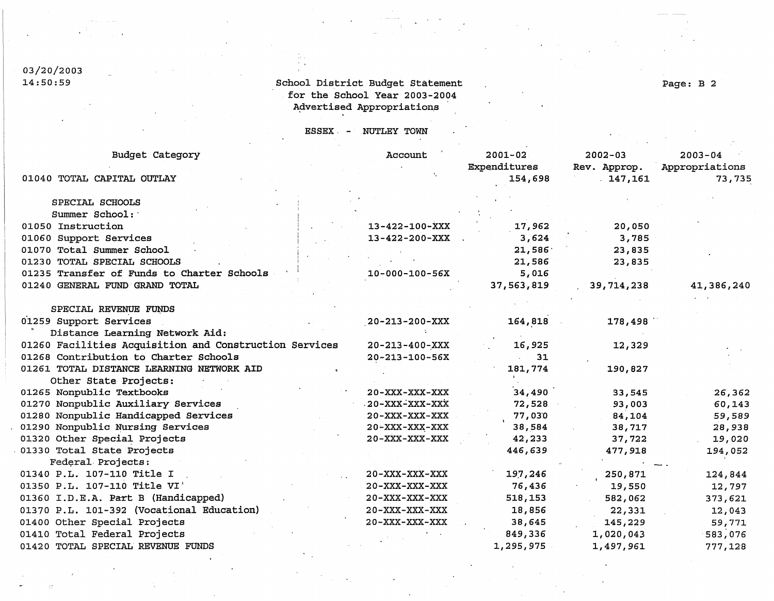### 03/20/20  $14:50:$

## School District Budget Statement for the School Year 2003-2004 Advertised Appropriations

Page: B 2

ESSEX. NUTLEY TOWN

| Budget Category                                        | Account                | $2001 - 02$  | $2002 - 03$  | $2003 - 04$    |
|--------------------------------------------------------|------------------------|--------------|--------------|----------------|
|                                                        |                        | Expenditures | Rev. Approp. | Appropriations |
| 01040 TOTAL CAPITAL OUTLAY                             |                        | 154,698      | 147,161      | 73,735         |
| SPECIAL SCHOOLS                                        |                        |              |              |                |
| Summer School:                                         |                        |              |              |                |
| 01050 Instruction                                      | $13 - 422 - 100 - XXX$ | 17,962       | 20,050       |                |
| 01060 Support Services                                 | $13 - 422 - 200 - XXX$ | 3,624        | 3,785        |                |
| 01070 Total Summer School                              |                        | 21,586       | 23,835       |                |
| 01230 TOTAL SPECIAL SCHOOLS                            |                        | 21,586       | 23,835       |                |
| 01235 Transfer of Funds to Charter Schools             | $10 - 000 - 100 - 56X$ | 5,016        |              |                |
| 01240 GENERAL FUND GRAND TOTAL                         |                        | 37,563,819   | 39,714,238   | 41,386,240     |
|                                                        |                        |              |              |                |
| SPECIAL REVENUE FUNDS                                  |                        |              |              |                |
| 01259 Support Services                                 | $20 - 213 - 200 - XXX$ | 164,818      | 178,498      |                |
| Distance Learning Network Aid:                         |                        |              |              |                |
| 01260 Facilities Acquisition and Construction Services | $20 - 213 - 400 - XXX$ | 16,925       | 12,329       |                |
| 01268 Contribution to Charter Schools                  | $20 - 213 - 100 - 56X$ | 31           |              |                |
| 01261 TOTAL DISTANCE LEARNING NETWORK AID              |                        | 181,774      | 190,827      |                |
| Other State Projects:                                  |                        |              |              |                |
| 01265 Nonpublic Textbooks                              | $20 - XXX - XXX - XXX$ | 34,490       | 33,545       | 26,362         |
| 01270 Nonpublic Auxiliary Services                     | . 20-XXX-XXX-XXX       | 72,528       | 93,003       | 60,143         |
| 01280 Nonpublic Handicapped Services                   | $20 - XXX - XXX - XXX$ | 77,030       | 84,104       | 59,589         |
| 01290 Nonpublic Nursing Services                       | $20 - XXX - XXX - XXX$ | 38,584       | 38,717       | 28,938         |
| 01320 Other Special Projects                           | $20 - XXX - XXX - XXX$ | 42,233       | 37,722       | 19,020         |
| 01330 Total State Projects                             |                        | 446,639      | 477,918      | 194,052        |
| Federal Projects:                                      |                        |              |              |                |
| 01340 P.L. 107-110 Title I                             | $20 - XXX - XXX - XXX$ | 197,246      | 250,871      | 124,844        |
| 01350 P.L. 107-110 Title VI'                           | $20 - XXX - XXX - XXX$ | 76,436       | 19,550       | 12,797         |
| 01360 I.D.E.A. Part B (Handicapped)                    | 20-XXX-XXX-XXX         | 518,153      | 582,062      | 373,621        |
| 01370 P.L. 101-392 (Vocational Education)              | $20 - XXX - XXX - XXX$ | 18,856       | 22,331       | 12,043         |
| 01400 Other Special Projects                           | 20-XXX-XXX-XXX         | 38,645       | 145,229      | 59,771         |
| 01410 Total Federal Projects                           |                        | 849,336      | 1,020,043    | 583,076        |
| 01420 TOTAL SPECIAL REVENUE FUNDS                      |                        | 1,295,975    | 1,497,961    | 777,128        |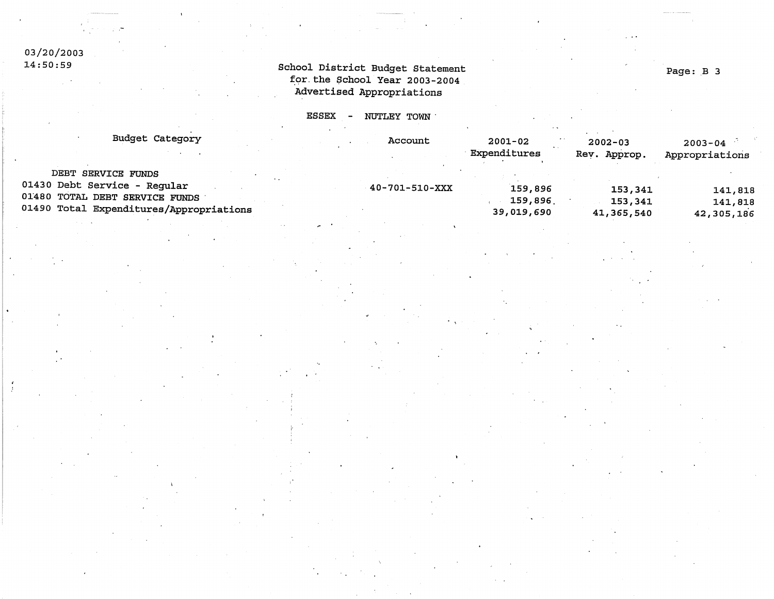### 03/20/20  $14:50:$

### School District Budget Stateme for the School Year 2003-200 Advertised Appropriat

ESSEX - NUTLEY TOWN

| Budget Category                         | Account        | 2001-02      | $2002 - 03$  | $2003 - 04$    |
|-----------------------------------------|----------------|--------------|--------------|----------------|
|                                         |                | Expenditures | Rev. Approp. | Appropriations |
| DEBT SERVICE FUNDS                      |                |              |              |                |
| 01430 Debt Service - Regular            | 40-701-510-XXX | 159,896      | 153,341      | 141,818        |
| 01480 TOTAL DEBT SERVICE FUNDS          |                | 159,896      | 153,341      | 141,818        |
| 01490 Total Expenditures/Appropriations |                | 39,019,690   | 41,365,540   | 42,305,186     |

Page: B 3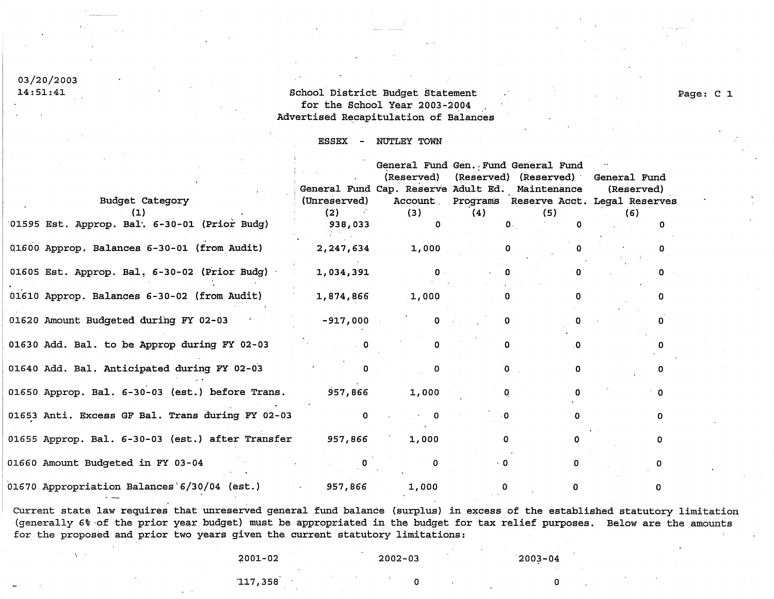# 03/20/2003

 $\mathbf{r}_i = \mathbf{r}_i$ 

## l.4: 5l.: 4l. School District Budget Statement for the School Year 2003-2004 Advertised Recapitulation of Balances

#### **ESSEX NUTLEY** TOWN

|                                                  |                                                                                                                                                                                             |                         |             | General Fund Gen. Fund General Fund             |            |   |
|--------------------------------------------------|---------------------------------------------------------------------------------------------------------------------------------------------------------------------------------------------|-------------------------|-------------|-------------------------------------------------|------------|---|
|                                                  |                                                                                                                                                                                             |                         |             | (Reserved) (Reserved) (Reserved) General Fund   |            |   |
|                                                  |                                                                                                                                                                                             |                         |             | General Fund Cap. Reserve Adult Ed. Maintenance | (Reserved) |   |
| <b>Budget Category</b>                           | (Unreserved)                                                                                                                                                                                |                         |             | Account Programs Reserve Acct. Legal Reserves   |            |   |
|                                                  | (2)                                                                                                                                                                                         | (3)                     | (4)         | (5)                                             | (6)        |   |
| 01595 Est. Approp. Bal. 6-30-01 (Prior Budg)     | 938,033                                                                                                                                                                                     |                         |             | $\mathbf{0}$ .<br>O                             |            |   |
| 01600 Approp. Balances 6-30-01 (from Audit)      | 2,247,634                                                                                                                                                                                   | 1,000                   |             |                                                 |            |   |
| 01605 Est. Approp. Bal. 6-30-02 (Prior Budg)     | 1,034,391                                                                                                                                                                                   | $\overline{\mathbf{0}}$ |             |                                                 |            |   |
| 01610 Approp. Balances 6-30-02 (from Audit)      | 1,874,866                                                                                                                                                                                   | 1,000                   | 0           | n.                                              |            |   |
| 01620 Amount Budgeted during FY 02-03            | $-917,000$                                                                                                                                                                                  | $\mathbf{0}$            |             |                                                 |            |   |
| 01630 Add. Bal. to be Approp during FY 02-03     |                                                                                                                                                                                             |                         |             | O.                                              |            |   |
| 01640 Add. Bal. Anticipated during FY 02-03      |                                                                                                                                                                                             | O.                      | $\Omega$    | U                                               |            |   |
| 01650 Approp. Bal. 6-30-03 (est.) before Trans.  | 957,866                                                                                                                                                                                     | 1,000                   | 0           |                                                 |            |   |
| 01653 Anti. Excess GF Bal. Trans during FY 02-03 |                                                                                                                                                                                             |                         |             |                                                 |            | O |
| 01655 Approp. Bal. 6-30-03 (est.) after Transfer | 957,866                                                                                                                                                                                     | 1,000                   | $\Omega$    |                                                 |            |   |
| 01660 Amount Budgeted in FY 03-04                |                                                                                                                                                                                             |                         |             |                                                 |            |   |
| 01670 Appropriation Balances 6/30/04 (est.)      | $\mathcal{L}^{\mathcal{L}}(\mathcal{L}^{\mathcal{L}})$ , where $\mathcal{L}^{\mathcal{L}}(\mathcal{L}^{\mathcal{L}})$ and $\mathcal{L}^{\mathcal{L}}(\mathcal{L}^{\mathcal{L}})$<br>957,866 | 1,000                   | $\mathbf 0$ |                                                 |            |   |

Current state law requires that unreserved general fund balance (surplus) in excess of the established statutory limitation (generally 6% ·of the prior year budget) must be appropriated in the budget for tax relief purposes, Below are the amounts for the proposed and prior two years given the current statutory limitations:

~001-02

#### 2002-03

2003-04

Page: C 1

117, 358

*b* 

0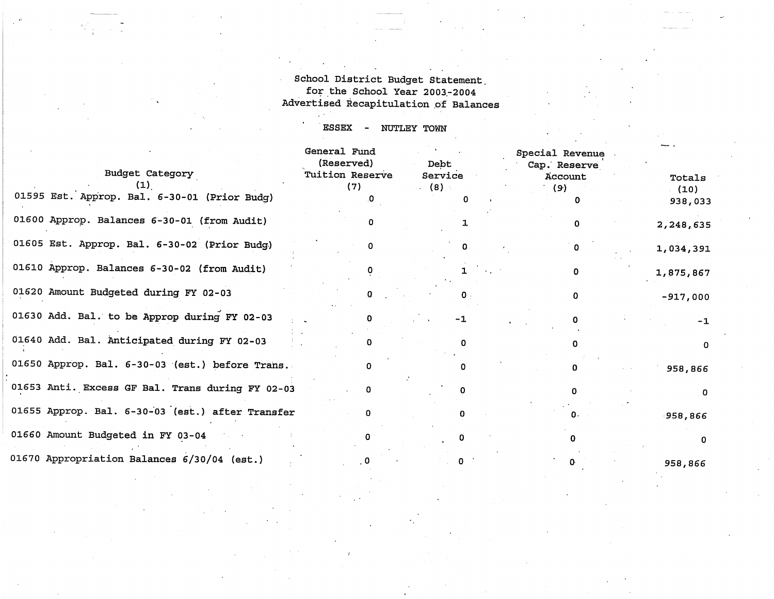School District Budget Statement. for the School Year 2003-2004 Advertised Recapitulation of Balances

ESSEX - NUTLEY TOWN

|                | General Fund<br>(Reserved)<br>Tuition Reserve | Debt<br>Service | Special Revenue<br>Cap. Reserve<br>Account | Totals          |
|----------------|-----------------------------------------------|-----------------|--------------------------------------------|-----------------|
| rior Budg)     | (7)<br>O                                      | (8)<br>0        | (9)<br>$\mathbf 0$                         | (10)<br>938,033 |
| om Audit)      | 0                                             |                 | 0                                          | 2,248,635       |
| rior Budg)     | 0                                             | <sup>0</sup>    | 0                                          | 1,034,391       |
| om Audit)      |                                               |                 | 0                                          | 1,875,867       |
| -03            | o                                             | 0.              | 0                                          | $-917,000$      |
| g FY 02-03     | n                                             | $-1$            | n                                          | $-1$            |
| FY 02-03       | o                                             | 0               | n                                          | $\mathbf 0$     |
| before Trans.  | 0                                             | n               |                                            | 958,866         |
| uring FY 02-03 | 0                                             | 0               | $\Omega$                                   | 0               |
| after Transfer | $\Omega$                                      | O               | 0.                                         | $-958,866$      |
|                | n                                             |                 |                                            | 0               |
| )4 (est.)      | 0                                             |                 |                                            | 958,866         |

Budget Category  $(1)$ . 01595 Est. Approp. Bal. 6-30-01 (P 01600 Approp. Balances  $6-30-01$  (from 01605 Est. Approp. Bal. 6-30-02 (P) 01610 Approp. Balances  $6-30-02$  (from 01620 Amount Budgeted during FY 02-01630 Add. Bal. to be Approp during 01640 Add. Bal. Anticipated during 01650 Approp. Bal. 6-30-03 (est.) h 01653 Anti. Excess GF Bal. Trans du 01655 Approp. Bal. 6-30-03 (est.) a 01660 Amount Budgeted in FY 03-04 01670 Appropriation Balances  $6/30/0$